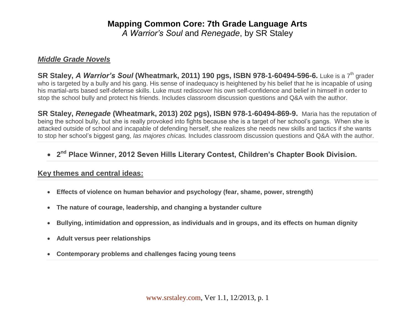#### *Middle Grade Novels*

**SR Staley,** *A Warrior's Soul* **(Wheatmark, 2011) 190 pgs, ISBN 978-1-60494-596-6.** Luke is a 7th grader who is targeted by a bully and his gang. His sense of inadequacy is heightened by his belief that he is incapable of using his martial-arts based self-defense skills. Luke must rediscover his own self-confidence and belief in himself in order to stop the school bully and protect his friends. Includes classroom discussion questions and Q&A with the author.

**SR Staley,** *Renegade* **(Wheatmark, 2013) 202 pgs), ISBN 978-1-60494-869-9.** Maria has the reputation of being the school bully, but she is really provoked into fights because she is a target of her school's gangs. When she is attacked outside of school and incapable of defending herself, she realizes she needs new skills and tactics if she wants to stop her school's biggest gang, *las majores chicas.* Includes classroom discussion questions and Q&A with the author.

#### **• 2<sup>nd</sup> Place Winner, 2012 Seven Hills Literary Contest, Children's Chapter Book Division.**

#### **Key themes and central ideas:**

- **Effects of violence on human behavior and psychology (fear, shame, power, strength)**
- **The nature of courage, leadership, and changing a bystander culture**
- **Bullying, intimidation and oppression, as individuals and in groups, and its effects on human dignity**
- **Adult versus peer relationships**
- **Contemporary problems and challenges facing young teens**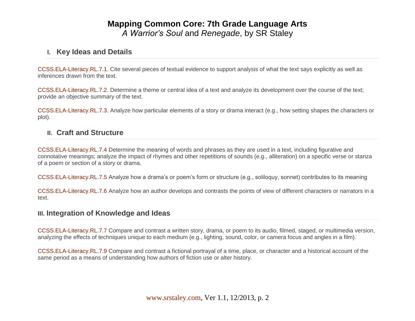#### **I. Key Ideas and Details**

[CCSS.ELA-Literacy.RL.7.1.](http://www.corestandards.org/ELA-Literacy/RL/7/1/) Cite several pieces of textual evidence to support analysis of what the text says explicitly as well as inferences drawn from the text.

[CCSS.ELA-Literacy.RL.7.2.](http://www.corestandards.org/ELA-Literacy/RL/7/2/) Determine a theme or central idea of a text and analyze its development over the course of the text; provide an objective summary of the text.

[CCSS.ELA-Literacy.RL.7.3.](http://www.corestandards.org/ELA-Literacy/RL/7/3/) Analyze how particular elements of a story or drama interact (e.g., how setting shapes the characters or plot).

#### **II. Craft and Structure**

[CCSS.ELA-Literacy.RL.7.4](http://www.corestandards.org/ELA-Literacy/RL/7/4/) Determine the meaning of words and phrases as they are used in a text, including figurative and connotative meanings; analyze the impact of rhymes and other repetitions of sounds (e.g., alliteration) on a specific verse or stanza of a poem or section of a story or drama.

[CCSS.ELA-Literacy.RL.7.5](http://www.corestandards.org/ELA-Literacy/RL/7/5/) Analyze how a drama's or poem's form or structure (e.g., soliloquy, sonnet) contributes to its meaning

[CCSS.ELA-Literacy.RL.7.6](http://www.corestandards.org/ELA-Literacy/RL/7/6/) Analyze how an author develops and contrasts the points of view of different characters or narrators in a text.

#### **III. Integration of Knowledge and Ideas**

[CCSS.ELA-Literacy.RL.7.7](http://www.corestandards.org/ELA-Literacy/RL/7/7/) Compare and contrast a written story, drama, or poem to its audio, filmed, staged, or multimedia version, analyzing the effects of techniques unique to each medium (e.g., lighting, sound, color, or camera focus and angles in a film).

[CCSS.ELA-Literacy.RL.7.9](http://www.corestandards.org/ELA-Literacy/RL/7/9/) Compare and contrast a fictional portrayal of a time, place, or character and a historical account of the same period as a means of understanding how authors of fiction use or alter history.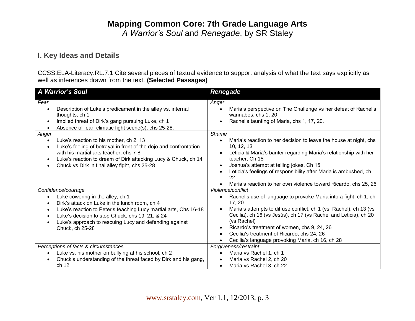*A Warrior's Soul* and *Renegade*, by SR Staley

#### **I. Key Ideas and Details**

[CCSS.ELA-Literacy.RL.7.1](http://www.corestandards.org/ELA-Literacy/RL/7/1/) Cite several pieces of textual evidence to support analysis of what the text says explicitly as well as inferences drawn from the text. **(Selected Passages)**

| <b>A Warrior's Soul</b>                                                                                                                                                                                                                                                                                                  | Renegade                                                                                                                                                                                                                                                                                                                                                                                                                |
|--------------------------------------------------------------------------------------------------------------------------------------------------------------------------------------------------------------------------------------------------------------------------------------------------------------------------|-------------------------------------------------------------------------------------------------------------------------------------------------------------------------------------------------------------------------------------------------------------------------------------------------------------------------------------------------------------------------------------------------------------------------|
| Fear<br>Description of Luke's predicament in the alley vs. internal<br>thoughts, ch 1<br>Implied threat of Dirk's gang pursuing Luke, ch 1<br>Absence of fear, climatic fight scene(s), chs 25-28.                                                                                                                       | Anger<br>Maria's perspective on The Challenge vs her defeat of Rachel's<br>$\bullet$<br>wannabes, chs 1, 20<br>Rachel's taunting of Maria, chs 1, 17, 20.                                                                                                                                                                                                                                                               |
| Anger<br>Luke's reaction to his mother, ch 2, 13<br>Luke's feeling of betrayal in front of the dojo and confrontation<br>$\bullet$<br>with his martial arts teacher, chs 7-8<br>Luke's reaction to dream of Dirk attacking Lucy & Chuck, ch 14<br>$\bullet$<br>Chuck vs Dirk in final alley fight, chs 25-28             | <b>Shame</b><br>Maria's reaction to her decision to leave the house at night, chs<br>$\bullet$<br>10, 12, 13<br>Leticia & Maria's banter regarding Maria's relationship with her<br>teacher, Ch 15<br>Joshua's attempt at telling jokes, Ch 15<br>$\bullet$<br>Leticia's feelings of responsibility after Maria is ambushed, ch<br>22<br>Maria's reaction to her own violence toward Ricardo, chs 25, 26                |
| Confidence/courage<br>Luke cowering in the alley, ch 1<br>Dirk's attack on Luke in the lunch room, ch 4<br>Luke's reaction to Peter's teaching Lucy martial arts, Chs 16-18<br>Luke's decision to stop Chuck, chs 19, 21, & 24<br>$\bullet$<br>Luke's approach to rescuing Lucy and defending against<br>Chuck, ch 25-28 | Violence/conflict<br>Rachel's use of language to provoke Maria into a fight, ch 1, ch<br>17, 20<br>Maria's attempts to diffuse conflict, ch 1 (vs. Rachel), ch 13 (vs.<br>Cecilia), ch 16 (vs Jesús), ch 17 (vs Rachel and Leticia), ch 20<br>(vs Rachel)<br>Ricardo's treatment of women, chs 9, 24, 26<br>Cecilia's treatment of Ricardo, chs 24, 26<br>$\bullet$<br>Cecilia's language provoking Maria, ch 16, ch 28 |
| Perceptions of facts & circumstances<br>Luke vs. his mother on bullying at his school, ch 2<br>Chuck's understanding of the threat faced by Dirk and his gang,<br>ch 12                                                                                                                                                  | Forgiveness/restraint<br>Maria vs Rachel 1, ch 1<br>Maria vs Rachel 2, ch 20<br>Maria vs Rachel 3, ch 22<br>$\bullet$                                                                                                                                                                                                                                                                                                   |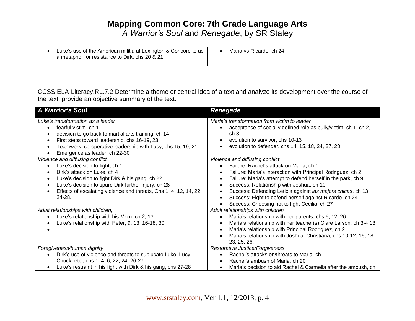| Luke's use of the American militia at Lexington & Concord to as | Maria vs Ricardo, ch 24 |  |
|-----------------------------------------------------------------|-------------------------|--|
| a metaphor for resistance to Dirk, chs 20 & 21                  |                         |  |
|                                                                 |                         |  |

[CCSS.ELA-Literacy.RL.7.2](http://www.corestandards.org/ELA-Literacy/RL/7/2/) Determine a theme or central idea of a text and analyze its development over the course of the text; provide an objective summary of the text.

| <b>A Warrior's Soul</b>                                                                                                                                                                                                                                                                                                    | <b>Renegade</b>                                                                                                                                                                                                                                                                                                                                                                                                                  |
|----------------------------------------------------------------------------------------------------------------------------------------------------------------------------------------------------------------------------------------------------------------------------------------------------------------------------|----------------------------------------------------------------------------------------------------------------------------------------------------------------------------------------------------------------------------------------------------------------------------------------------------------------------------------------------------------------------------------------------------------------------------------|
| Luke's transformation as a leader<br>fearful victim, ch 1<br>decision to go back to martial arts training, ch 14<br>First steps toward leadership, chs 16-19, 23<br>Teamwork, co-operative leadership with Lucy, chs 15, 19, 21                                                                                            | Maria's transformation from victim to leader<br>acceptance of socially defined role as bully/victim, ch 1, ch 2,<br>ch <sub>3</sub><br>evolution to survivor, chs 10-13<br>evolution to defender, chs 14, 15, 18, 24, 27, 28                                                                                                                                                                                                     |
| Emergence as leader, ch 22-30<br>Violence and diffusing conflict<br>Luke's decision to fight, ch 1<br>Dirk's attack on Luke, ch 4<br>Luke's decision to fight Dirk & his gang, ch 22<br>Luke's decision to spare Dirk further injury, ch 28<br>Effects of escalating violence and threats, Chs 1, 4, 12, 14, 22,<br>24-28. | Violence and diffusing conflict<br>Failure: Rachel's attack on Maria, ch 1<br>Failure: Maria's interaction with Principal Rodriguez, ch 2<br>Failure: Maria's attempt to defend herself in the park, ch 9<br>Success: Relationship with Joshua, ch 10<br>Success: Defending Leticia against las majors chicas, ch 13<br>Success: Fight to defend herself against Ricardo, ch 24<br>Success: Choosing not to fight Cecilia, ch 27 |
| Adult relationships with children,<br>Luke's relationship with his Mom, ch 2, 13<br>Luke's relationship with Peter, 9, 13, 16-18, 30                                                                                                                                                                                       | Adult relationships with children<br>Maria's relationship with her parents, chs 6, 12, 26<br>Maria's relationship with her teacher(s) Clare Larson, ch 3-4,13<br>Maria's relationship with Principal Rodriguez, ch 2<br>Maria's relationship with Joshua, Christiana, chs 10-12, 15, 18,<br>23, 25, 26,                                                                                                                          |
| Foregiveness/human dignity<br>Dirk's use of violence and threats to subjucate Luke, Lucy,<br>Chuck, etc., chs 1, 4, 6, 22, 24, 26-27<br>Luke's restraint in his fight with Dirk & his gang, chs 27-28                                                                                                                      | Restorative Justice/Forgiveness<br>Rachel's attacks on/threats to Maria, ch 1,<br>Rachel's ambush of Maria, ch 20<br>Maria's decision to aid Rachel & Carmella after the ambush, ch<br>$\bullet$                                                                                                                                                                                                                                 |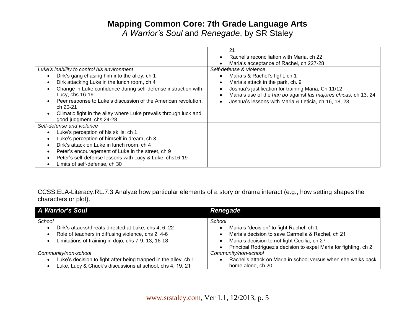*A Warrior's Soul* and *Renegade*, by SR Staley

|                                                                                              | 21<br>Rachel's reconciliation with Maria, ch 22<br>Maria's acceptance of Rachel, ch 227-28                             |
|----------------------------------------------------------------------------------------------|------------------------------------------------------------------------------------------------------------------------|
| Luke's inability to control his environment                                                  | Self-defense & violence                                                                                                |
| Dirk's gang chasing him into the alley, ch 1                                                 | Maria's & Rachel's fight, ch 1                                                                                         |
| Dirk attacking Luke in the lunch room, ch 4                                                  | Maria's attack in the park, ch. 9                                                                                      |
| Change in Luke confidence during self-defense instruction with<br>Lucy, chs 16-19            | Joshua's justification for training Maria, Ch 11/12<br>Maria's use of the han bo against las majores chicas, ch 13, 24 |
| Peer response to Luke's discussion of the American revolution,<br>ch 20-21                   | Joshua's lessons with Maria & Leticia, ch 16, 18, 23                                                                   |
| Climatic fight in the alley where Luke prevails through luck and<br>good judgment, chs 24-28 |                                                                                                                        |
| Self-defense and violence                                                                    |                                                                                                                        |
| Luke's perception of his skills, ch 1                                                        |                                                                                                                        |
| Luke's perception of himself in dream, ch 3                                                  |                                                                                                                        |
| Dirk's attack on Luke in lunch room, ch 4                                                    |                                                                                                                        |
| Peter's encouragement of Luke in the street, ch 9                                            |                                                                                                                        |
| Peter's self-defense lessons with Lucy & Luke, chs16-19                                      |                                                                                                                        |
| Limits of self-defense, ch 30                                                                |                                                                                                                        |

[CCSS.ELA-Literacy.RL.7.3](http://www.corestandards.org/ELA-Literacy/RL/7/3/) Analyze how particular elements of a story or drama interact (e.g., how setting shapes the characters or plot).

| <b>A Warrior's Soul</b>                                                                                                                                                      | <b>Renegade</b>                                                                                                                                                                                                             |
|------------------------------------------------------------------------------------------------------------------------------------------------------------------------------|-----------------------------------------------------------------------------------------------------------------------------------------------------------------------------------------------------------------------------|
| School<br>Dirk's attacks/threats directed at Luke, chs 4, 6, 22<br>Role of teachers in diffusing violence, chs 2, 4-6<br>Limitations of training in dojo, chs 7-9, 13, 16-18 | School<br>Maria's "decision" to fight Rachel, ch 1<br>Maria's decision to save Carmella & Rachel, ch 21<br>Maria's decision to not fight Cecilia, ch 27<br>Principal Rodriguez's decision to expel Maria for fighting, ch 2 |
| Community/non-school                                                                                                                                                         | Community/non-school                                                                                                                                                                                                        |
| Luke's decision to fight after being trapped in the alley, ch 1                                                                                                              | Rachel's attack on Maria in school versus when she walks back                                                                                                                                                               |
| Luke, Lucy & Chuck's discussions at school, chs 4, 19, 21                                                                                                                    | home alone, ch 20                                                                                                                                                                                                           |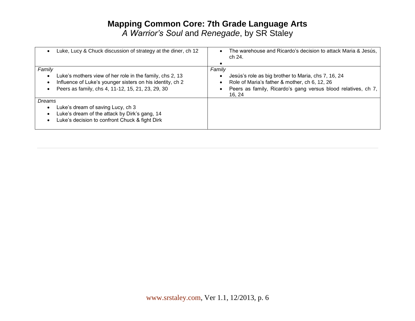|        | Luke, Lucy & Chuck discussion of strategy at the diner, ch 12 |        | The warehouse and Ricardo's decision to attack Maria & Jesús,<br>ch 24. |
|--------|---------------------------------------------------------------|--------|-------------------------------------------------------------------------|
|        |                                                               |        |                                                                         |
| Family |                                                               | Family |                                                                         |
|        | Luke's mothers view of her role in the family, chs 2, 13      |        | Jesús's role as big brother to Maria, chs 7, 16, 24                     |
|        | Influence of Luke's younger sisters on his identity, ch 2     |        | Role of Maria's father & mother, ch 6, 12, 26                           |
|        | Peers as family, chs 4, 11-12, 15, 21, 23, 29, 30             |        | Peers as family, Ricardo's gang versus blood relatives, ch 7,<br>16, 24 |
| Dreams |                                                               |        |                                                                         |
|        | Luke's dream of saving Lucy, ch 3                             |        |                                                                         |
|        | Luke's dream of the attack by Dirk's gang, 14                 |        |                                                                         |
|        | Luke's decision to confront Chuck & fight Dirk                |        |                                                                         |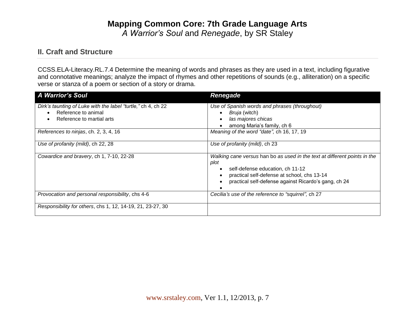*A Warrior's Soul* and *Renegade*, by SR Staley

#### **II. Craft and Structure**

[CCSS.ELA-Literacy.RL.7.4](http://www.corestandards.org/ELA-Literacy/RL/7/4/) Determine the meaning of words and phrases as they are used in a text, including figurative and connotative meanings; analyze the impact of rhymes and other repetitions of sounds (e.g., alliteration) on a specific verse or stanza of a poem or section of a story or drama.

| <b>A Warrior's Soul</b>                                      | Renegade                                                                          |
|--------------------------------------------------------------|-----------------------------------------------------------------------------------|
| Dirk's taunting of Luke with the label "turtle," ch 4, ch 22 | Use of Spanish words and phrases (throughout)                                     |
| Reference to animal                                          | Bruja (witch)                                                                     |
| Reference to martial arts                                    | las majores chicas                                                                |
|                                                              | among Maria's family, ch 6                                                        |
| References to ninjas, ch. 2, 3, 4, 16                        | Meaning of the word "date", ch 16, 17, 19                                         |
| Use of profanity (mild), ch 22, 28                           | Use of profanity (mild), ch 23                                                    |
| Cowardice and bravery, ch 1, 7-10, 22-28                     | Walking cane versus han bo as used in the text at different points in the<br>plot |
|                                                              | self-defense education, ch 11-12<br>practical self-defense at school, chs 13-14   |
|                                                              | practical self-defense against Ricardo's gang, ch 24                              |
|                                                              |                                                                                   |
| Provocation and personal responsibility, chs 4-6             | Cecilia's use of the reference to "squirrel", ch 27                               |
| Responsibility for others, chs 1, 12, 14-19, 21, 23-27, 30   |                                                                                   |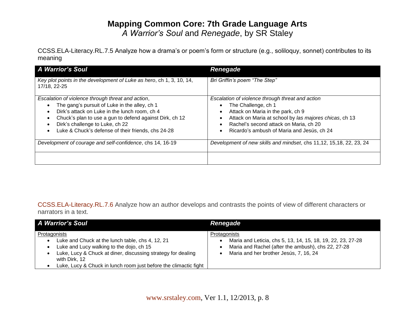[CCSS.ELA-Literacy.RL.7.5](http://www.corestandards.org/ELA-Literacy/RL/7/5/) Analyze how a drama's or poem's form or structure (e.g., soliloquy, sonnet) contributes to its meaning

| A Warrior's Soul                                                                                                                                                                                                                                                                                        | <b>Renegade</b>                                                                                                                                                                                                                                                |
|---------------------------------------------------------------------------------------------------------------------------------------------------------------------------------------------------------------------------------------------------------------------------------------------------------|----------------------------------------------------------------------------------------------------------------------------------------------------------------------------------------------------------------------------------------------------------------|
| Key plot points in the development of Luke as hero, ch 1, 3, 10, 14,<br>17/18, 22-25                                                                                                                                                                                                                    | Bri Griffin's poem "The Step"                                                                                                                                                                                                                                  |
| Escalation of violence through threat and action,<br>The gang's pursuit of Luke in the alley, ch 1<br>Dirk's attack on Luke in the lunch room, ch 4<br>Chuck's plan to use a gun to defend against Dirk, ch 12<br>Dirk's challenge to Luke, ch 22<br>Luke & Chuck's defense of their friends, chs 24-28 | Escalation of violence through threat and action<br>The Challenge, ch 1<br>Attack on Maria in the park, ch 9<br>Attack on Maria at school by las majores chicas, ch 13<br>Rachel's second attack on Maria, ch 20<br>Ricardo's ambush of Maria and Jesús, ch 24 |
| Development of courage and self-confidence, chs 14, 16-19                                                                                                                                                                                                                                               | Development of new skills and mindset, chs 11,12, 15,18, 22, 23, 24                                                                                                                                                                                            |

[CCSS.ELA-Literacy.RL.7.6](http://www.corestandards.org/ELA-Literacy/RL/7/6/) Analyze how an author develops and contrasts the points of view of different characters or narrators in a text.

| <b>A Warrior's Soul</b>                                                                                                                                                                                                                                           | Renegade                                                                                                                                                                    |
|-------------------------------------------------------------------------------------------------------------------------------------------------------------------------------------------------------------------------------------------------------------------|-----------------------------------------------------------------------------------------------------------------------------------------------------------------------------|
| Protagonists<br>Luke and Chuck at the lunch table, chs 4, 12, 21<br>Luke and Lucy walking to the dojo, ch 15<br>Luke, Lucy & Chuck at diner, discussing strategy for dealing<br>with Dirk, 12<br>Luke, Lucy & Chuck in lunch room just before the climactic fight | Protagonists<br>Maria and Leticia, chs 5, 13, 14, 15, 18, 19, 22, 23, 27-28<br>Maria and Rachel (after the ambush), chs 22, 27-28<br>Maria and her brother Jesús, 7, 16, 24 |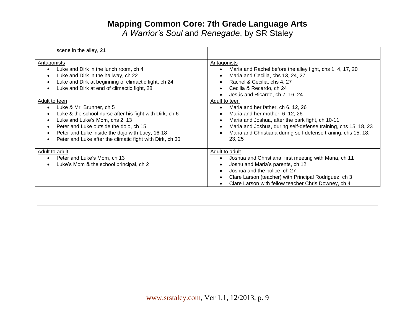*A Warrior's Soul* and *Renegade*, by SR Staley

| scene in the alley, 21                                                                                                                                                                                                                                                                               |                                                                                                                                                                                                                                                                                              |
|------------------------------------------------------------------------------------------------------------------------------------------------------------------------------------------------------------------------------------------------------------------------------------------------------|----------------------------------------------------------------------------------------------------------------------------------------------------------------------------------------------------------------------------------------------------------------------------------------------|
| Antagonists<br>Luke and Dirk in the lunch room, ch 4<br>Luke and Dirk in the hallway, ch 22<br>Luke and Dirk at beginning of climactic fight, ch 24<br>Luke and Dirk at end of climactic fight, 28                                                                                                   | Antagonists<br>Maria and Rachel before the alley fight, chs 1, 4, 17, 20<br>Maria and Cecilia, chs 13, 24, 27<br>Rachel & Cecilia, chs 4, 27<br>Cecilia & Recardo, ch 24<br>Jesús and Ricardo, ch 7, 16, 24                                                                                  |
| Adult to teen<br>Luke & Mr. Brunner, ch 5<br>Luke & the school nurse after his fight with Dirk, ch 6<br>Luke and Luke's Mom, chs 2, 13<br>Peter and Luke outside the dojo, ch 15<br>٠<br>Peter and Luke inside the dojo with Lucy, 16-18<br>Peter and Luke after the climatic fight with Dirk, ch 30 | Adult to teen<br>Maria and her father, ch 6, 12, 26<br>Maria and her mother, 6, 12, 26<br>Maria and Joshua, after the park fight, ch 10-11<br>Maria and Joshua, during self-defense training, chs 15, 18, 23<br>٠<br>Maria and Christiana during self-defense traning, chs 15, 18,<br>23, 25 |
| Adult to adult<br>Peter and Luke's Mom, ch 13<br>Luke's Mom & the school principal, ch 2                                                                                                                                                                                                             | Adult to adult<br>Joshua and Christiana, first meeting with Maria, ch 11<br>Joshu and Maria's parents, ch 12<br>Joshua and the police, ch 27<br>Clare Larson (teacher) with Principal Rodriguez, ch 3<br>Clare Larson with fellow teacher Chris Downey, ch 4                                 |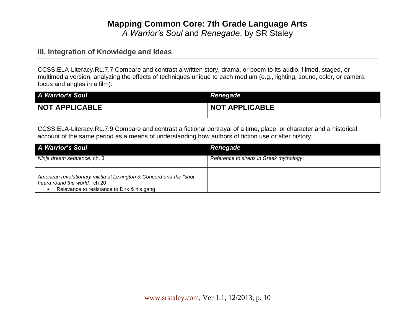#### **III. Integration of Knowledge and Ideas**

[CCSS.ELA-Literacy.RL.7.7](http://www.corestandards.org/ELA-Literacy/RL/7/7/) Compare and contrast a written story, drama, or poem to its audio, filmed, staged, or multimedia version, analyzing the effects of techniques unique to each medium (e.g., lighting, sound, color, or camera focus and angles in a film).

| A Warrior's Soul      | Renegade              |
|-----------------------|-----------------------|
| <b>NOT APPLICABLE</b> | <b>NOT APPLICABLE</b> |

[CCSS.ELA-Literacy.RL.7.9](http://www.corestandards.org/ELA-Literacy/RL/7/9/) Compare and contrast a fictional portrayal of a time, place, or character and a historical account of the same period as a means of understanding how authors of fiction use or alter history.

| A Warrior's Soul                                                                                                                                    | Renegade                                |
|-----------------------------------------------------------------------------------------------------------------------------------------------------|-----------------------------------------|
| Ninja dream sequence, ch. 3                                                                                                                         | Reference to sirens in Greek mythology, |
| American revolutionary militia at Lexington & Concord and the "shot"<br>heard round the world," ch 20<br>Relevance to resistance to Dirk & his gang |                                         |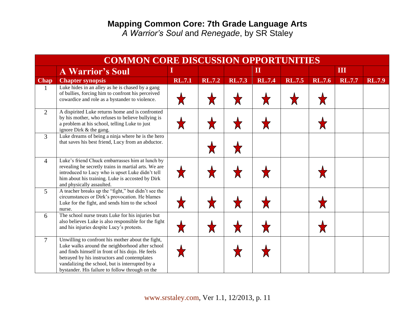*A Warrior's Soul* and *Renegade*, by SR Staley

|                | <b>COMMON CORE DISCUSSION OPPORTUNITIES</b>                                                                                                                                                                                                                                                                    |               |               |               |               |               |               |               |               |  |  |  |
|----------------|----------------------------------------------------------------------------------------------------------------------------------------------------------------------------------------------------------------------------------------------------------------------------------------------------------------|---------------|---------------|---------------|---------------|---------------|---------------|---------------|---------------|--|--|--|
|                | <b>A Warrior's Soul</b>                                                                                                                                                                                                                                                                                        | 1             |               |               | $\bf{II}$     |               |               | III           |               |  |  |  |
| <b>Chap</b>    | <b>Chapter synopsis</b>                                                                                                                                                                                                                                                                                        | <b>RL.7.1</b> | <b>RL.7.2</b> | <b>RL.7.3</b> | <b>RL.7.4</b> | <b>RL.7.5</b> | <b>RL.7.6</b> | <b>RL.7.7</b> | <b>RL.7.9</b> |  |  |  |
| $\mathbf{1}$   | Luke hides in an alley as he is chased by a gang<br>of bullies, forcing him to confront his perceived<br>cowardice and role as a bystander to violence.                                                                                                                                                        |               |               |               |               |               |               |               |               |  |  |  |
| $\overline{2}$ | A dispirited Luke returns home and is confronted<br>by his mother, who refuses to believe bullying is<br>a problem at his school, telling Luke to just<br>ignore Dirk & the gang.                                                                                                                              |               |               |               |               |               |               |               |               |  |  |  |
| $\overline{3}$ | Luke dreams of being a ninja where he is the hero<br>that saves his best friend, Lucy from an abductor.                                                                                                                                                                                                        |               |               |               |               |               |               |               |               |  |  |  |
| $\overline{4}$ | Luke's friend Chuck embarrasses him at lunch by<br>revealing he secretly trains in martial arts. We are<br>introduced to Lucy who is upset Luke didn't tell<br>him about his training. Luke is accosted by Dirk<br>and physically assaulted.                                                                   |               |               |               |               |               |               |               |               |  |  |  |
| 5              | A teacher breaks up the "fight," but didn't see the<br>circumstances or Dirk's provocation. He blames<br>Luke for the fight, and sends him to the school<br>nurse.                                                                                                                                             |               |               |               |               |               |               |               |               |  |  |  |
| 6              | The school nurse treats Luke for his injuries but<br>also believes Luke is also responsible for the fight<br>and his injuries despite Lucy's protests.                                                                                                                                                         |               |               |               |               |               |               |               |               |  |  |  |
| $\overline{7}$ | Unwilling to confront his mother about the fight,<br>Luke walks around the neighborhood after school<br>and finds himself in front of his dojo. He feels<br>betrayed by his instructors and contemplates<br>vandalizing the school, but is interrupted by a<br>bystander. His failure to follow through on the |               |               |               |               |               |               |               |               |  |  |  |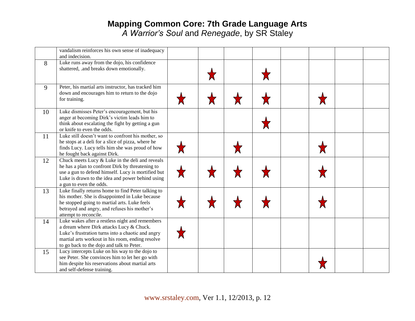|    | vandalism reinforces his own sense of inadequacy<br>and indecision.                                                                                                                                                                               |  |  |  |  |
|----|---------------------------------------------------------------------------------------------------------------------------------------------------------------------------------------------------------------------------------------------------|--|--|--|--|
| 8  | Luke runs away from the dojo, his confidence<br>shattered, .and breaks down emotionally.                                                                                                                                                          |  |  |  |  |
| 9  | Peter, his martial arts instructor, has tracked him<br>down and encourages him to return to the dojo<br>for training.                                                                                                                             |  |  |  |  |
| 10 | Luke dismisses Peter's encouragement, but his<br>anger at becoming Dirk's victim leads him to<br>think about escalating the fight by getting a gun<br>or knife to even the odds.                                                                  |  |  |  |  |
| 11 | Luke still doesn't want to confront his mother, so<br>he stops at a deli for a slice of pizza, where he<br>finds Lucy. Lucy tells him she was proud of how<br>he fought back against Dirk.                                                        |  |  |  |  |
| 12 | Chuck meets Lucy & Luke in the deli and reveals<br>he has a plan to confront Dirk by threatening to<br>use a gun to defend himself. Lucy is mortified but<br>Luke is drawn to the idea and power behind using<br>a gun to even the odds.          |  |  |  |  |
| 13 | Luke finally returns home to find Peter talking to<br>his mother. She is disappointed in Luke because<br>he stopped going to martial arts. Luke feels<br>betrayed and angry, and refuses his mother's<br>attempt to reconcile.                    |  |  |  |  |
| 14 | Luke wakes after a restless night and remembers<br>a dream where Dirk attacks Lucy & Chuck.<br>Luke's frustration turns into a chaotic and angry<br>martial arts workout in his room, ending resolve<br>to go back to the dojo and talk to Peter. |  |  |  |  |
| 15 | Lucy intercepts Luke on his way to the dojo to<br>see Peter. She convinces him to let her go with<br>him despite his reservations about martial arts<br>and self-defense training.                                                                |  |  |  |  |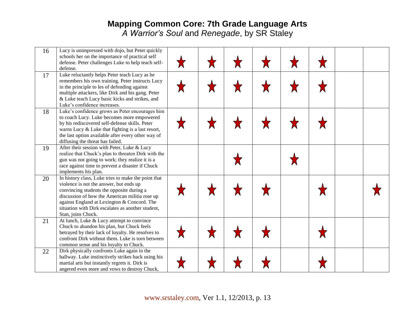| 16 | Lucy is unimpressed with dojo, but Peter quickly<br>schools her on the importance of practical self<br>defense. Peter challenges Luke to help teach self-<br>defense.                                                                                                                                                   |  |  |  |  |
|----|-------------------------------------------------------------------------------------------------------------------------------------------------------------------------------------------------------------------------------------------------------------------------------------------------------------------------|--|--|--|--|
| 17 | Luke reluctantly helps Peter teach Lucy as he<br>remembers his own training. Peter instructs Lucy<br>in the principle to les of defending against<br>multiple attackers, like Dirk and his gang. Peter<br>& Luke teach Lucy basic kicks and strikes, and<br>Luke's confidence increases.                                |  |  |  |  |
| 18 | Luke's confidence grows as Peter encourages him<br>to coach Lucy. Luke becomes more empowered<br>by his rediscovered self-defense skills. Peter<br>warns Lucy & Luke that fighting is a last resort,<br>the last option available after every other way of<br>diffusing the threat has failed.                          |  |  |  |  |
| 19 | After their session with Peter, Luke & Lucy<br>realize that Chuck's plan to threaten Dirk with the<br>gun was not going to work; they realize it is a<br>race against time to prevent a disaster if Chuck<br>implements his plan.                                                                                       |  |  |  |  |
| 20 | In history class, Luke tries to make the point that<br>violence is not the answer, but ends up<br>convincing students the opposite during a<br>discussion of how the American militia rose up<br>against England at Lexington & Concord. The<br>situation with Dirk escalates as another student,<br>Stan, joins Chuck. |  |  |  |  |
| 21 | At lunch, Luke & Lucy attempt to convince<br>Chuck to abandon his plan, but Chuck feels<br>betrayed by their lack of loyalty. He resolves to<br>confront Dirk without them. Luke is torn between<br>common sense and his loyalty to Chuck.                                                                              |  |  |  |  |
| 22 | Dirk physically confronts Luke again in the<br>hallway. Luke instinctively strikes back using his<br>martial arts but instantly regrets it. Dirk is<br>angered even more and vows to destroy Chuck,                                                                                                                     |  |  |  |  |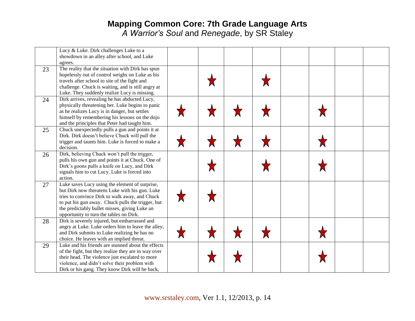|    | Lucy & Luke. Dirk challenges Luke to a<br>showdown in an alley after school, and Luke<br>agrees.                                                                                                                                                                                                    |  |  |  |  |
|----|-----------------------------------------------------------------------------------------------------------------------------------------------------------------------------------------------------------------------------------------------------------------------------------------------------|--|--|--|--|
| 23 | The reality that the situation with Dirk has spun<br>hopelessly out of control weighs on Luke as his<br>travels after school to site of the fight and<br>challenge. Chuck is waiting, and is still angry at<br>Luke. They suddenly realize Lucy is missing.                                         |  |  |  |  |
| 24 | Dirk arrives, revealing he has abducted Lucy,<br>physically threatening her. Luke begins to panic<br>as he realizes Lucy is in danger, but settles<br>himself by remembering his lessons on the dojo<br>and the principles that Peter had taught him.                                               |  |  |  |  |
| 25 | Chuck unexpectedly pulls a gun and points it at<br>Dirk. Dirk doesn't believe Chuck will pull the<br>trigger and taunts him. Luke is forced to make a<br>decision.                                                                                                                                  |  |  |  |  |
| 26 | Dirk, believing Chuck won't pull the trigger,<br>pulls his own gun and points it at Chuck. One of<br>Dirk's goons pulls a knife on Lucy, and Dirk<br>signals him to cut Lucy. Luke is forced into<br>action.                                                                                        |  |  |  |  |
| 27 | Luke saves Lucy using the element of surprise,<br>but Dirk now threatens Luke with his gun. Luke<br>tries to convince Dirk to walk away, and Chuck<br>to put his gun away. Chuck pulls the trigger, but<br>the predictably bullet misses, giving Luke an<br>opportunity to turn the tables on Dirk. |  |  |  |  |
| 28 | Dirk is severely injured, but embarrassed and<br>angry at Luke. Luke orders him to leave the alley,<br>and Dirk submits to Luke realizing he has no<br>choice. He leaves with an implied threat.                                                                                                    |  |  |  |  |
| 29 | Luke and his friends are stunned about the effects<br>of the fight, but they realize they are in way over<br>their head. The violence just escalated to more<br>violence, and didn't solve their problem with<br>Dirk or his gang. They know Dirk will be back,                                     |  |  |  |  |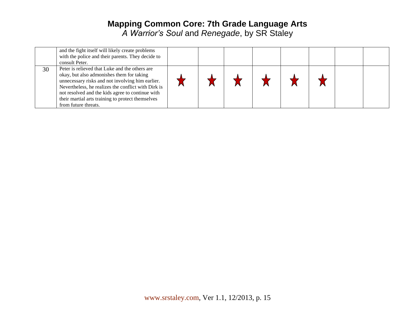|    | and the fight itself will likely create problems<br>with the police and their parents. They decide to<br>consult Peter.                                                                                                                                                                                                                 |  |  |  |  |
|----|-----------------------------------------------------------------------------------------------------------------------------------------------------------------------------------------------------------------------------------------------------------------------------------------------------------------------------------------|--|--|--|--|
| 30 | Peter is relieved that Luke and the others are<br>okay, but also admonishes them for taking<br>unnecessary risks and not involving him earlier.<br>Nevertheless, he realizes the conflict with Dirk is<br>not resolved and the kids agree to continue with<br>their martial arts training to protect themselves<br>from future threats. |  |  |  |  |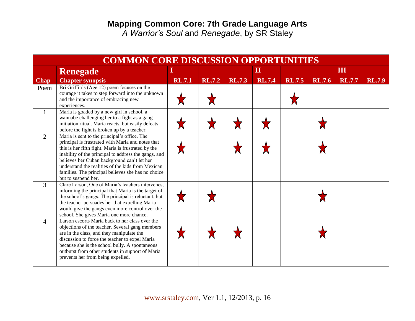*A Warrior's Soul* and *Renegade*, by SR Staley

|                | <b>COMMON CORE DISCUSSION OPPORTUNITIES</b>                                                                                                                                                                                                                                                                                                                                                       |               |               |               |               |               |               |               |               |
|----------------|---------------------------------------------------------------------------------------------------------------------------------------------------------------------------------------------------------------------------------------------------------------------------------------------------------------------------------------------------------------------------------------------------|---------------|---------------|---------------|---------------|---------------|---------------|---------------|---------------|
|                | <b>Renegade</b>                                                                                                                                                                                                                                                                                                                                                                                   | Л             |               |               | $\mathbf I$   |               |               | III           |               |
| <b>Chap</b>    | <b>Chapter synopsis</b>                                                                                                                                                                                                                                                                                                                                                                           | <b>RL.7.1</b> | <b>RL.7.2</b> | <b>RL.7.3</b> | <b>RL.7.4</b> | <b>RL.7.5</b> | <b>RL.7.6</b> | <b>RL.7.7</b> | <b>RL.7.9</b> |
| Poem           | Bri Griffin's (Age 12) poem focuses on the<br>courage it takes to step forward into the unknown<br>and the importance of embracing new<br>experiences.                                                                                                                                                                                                                                            |               |               |               |               |               |               |               |               |
| $\mathbf{1}$   | Maria is goaded by a new girl in school, a<br>wannabe challenging her to a fight as a gang<br>initiation ritual. Maria reacts, but easily defeats<br>before the fight is broken up by a teacher.                                                                                                                                                                                                  |               |               |               |               |               |               |               |               |
| 2              | Maria is sent to the principal's office. The<br>principal is frustrated with Maria and notes that<br>this is her fifth fight. Maria is frustrated by the<br>inability of the principal to address the gangs, and<br>believes her Cuban background can't let her<br>understand the realities of the kids from Mexican<br>families. The principal believes she has no choice<br>but to suspend her. |               |               |               |               |               |               |               |               |
| 3              | Clare Larson, One of Maria's teachers intervenes,<br>informing the principal that Maria is the target of<br>the school's gangs. The principal is reluctant, but<br>the teacher persuades her that expelling Maria<br>would give the gangs even more control over the<br>school. She gives Maria one more chance.                                                                                  |               |               |               |               |               |               |               |               |
| $\overline{4}$ | Larson escorts Maria back to her class over the<br>objections of the teacher. Several gang members<br>are in the class, and they manipulate the<br>discussion to force the teacher to expel Maria<br>because she is the school bully. A spontaneous<br>outburst from other students in support of Maria<br>prevents her from being expelled.                                                      |               |               |               |               |               |               |               |               |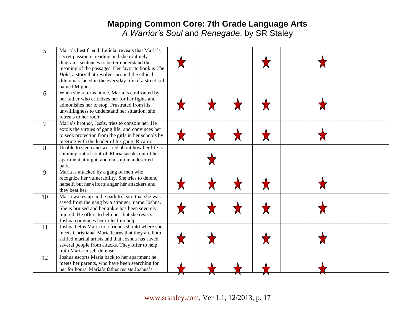| 5 <sup>5</sup> | Maria's best friend, Leticia, reveals that Maria's<br>secret passion is reading and she routinely<br>diagrams sentences to better understand the<br>meaning of the passages. Her favorite book is The<br>Hole, a story that revolves around the ethical<br>dilemmas faced in the everyday life of a street kid<br>named Miguel. |  |  |  |  |
|----------------|---------------------------------------------------------------------------------------------------------------------------------------------------------------------------------------------------------------------------------------------------------------------------------------------------------------------------------|--|--|--|--|
| 6              | When she returns home, Maria is confronted by<br>her father who criticizes her for her fights and<br>admonishes her to stop. Frustrated from his<br>unwillingness to understand her situation, she<br>retreats to her room.                                                                                                     |  |  |  |  |
| $\overline{7}$ | Maria's brother, Jesús, tries to console her. He<br>extols the virtues of gang life, and convinces her<br>to seek protection from the girls in her schools by<br>meeting with the leader of his gang, Ricardo.                                                                                                                  |  |  |  |  |
| 8              | Unable to sleep and worried about how her life is<br>spinning out of control, Maria sneaks out of her<br>apartment at night, and ends up in a deserted<br>park.                                                                                                                                                                 |  |  |  |  |
| 9              | Maria is attacked by a gang of men who<br>recognize her vulnerability. She tries to defend<br>herself, but her efforts anger her attackers and<br>they beat her.                                                                                                                                                                |  |  |  |  |
| 10             | Maria wakes up in the park to learn that she was<br>saved from the gang by a stranger, name Joshua.<br>She is bruised and her ankle has been severely<br>injured. He offers to help her, but she resists.<br>Joshua convinces her to let him help.                                                                              |  |  |  |  |
| 11             | Joshua helps Maria to a friends should where she<br>meets Christiana. Maria learns that they are both<br>skilled martial artists and that Joshua has saved<br>several people from attacks. They offer to help<br>train Maria in self defense.                                                                                   |  |  |  |  |
| 12             | Joshua escorts Maria back to her apartment he<br>meets her parents, who have been searching for<br>her for hours. Maria's father resists Joshua's                                                                                                                                                                               |  |  |  |  |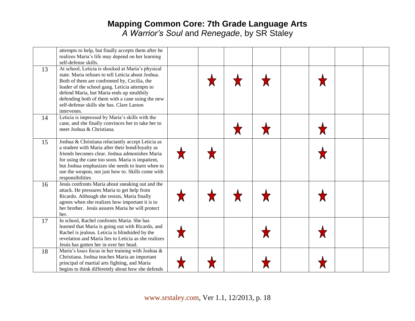|    | attempts to help, but finally accepts them after he<br>realizes Maria's life may depend on her learning<br>self-defense skills.                                                                                                                                                                                                                                         |  |  |  |  |
|----|-------------------------------------------------------------------------------------------------------------------------------------------------------------------------------------------------------------------------------------------------------------------------------------------------------------------------------------------------------------------------|--|--|--|--|
| 13 | At school, Leticia is shocked at Maria's physical<br>state. Maria refuses to tell Leticia about Joshua.<br>Both of them are confronted by, Cecilia, the<br>leader of the school gang. Leticia attempts to<br>defend Maria, but Maria ends up stealthily<br>defending both of them with a cane using the new<br>self-defense skills she has. Clare Larson<br>intervenes. |  |  |  |  |
| 14 | Leticia is impressed by Maria's skills with the<br>cane, and she finally convinces her to take her to<br>meet Joshua & Christiana.                                                                                                                                                                                                                                      |  |  |  |  |
| 15 | Joshua & Christiana reluctantly accept Leticia as<br>a student with Maria after their bond/loyalty as<br>friends becomes clear. Joshua admonishes Maria<br>for using the cane too soon. Maria is impatient,<br>but Joshua emphasizes she needs to learn when to<br>use the weapon, not just how to. Skills come with<br>responsibilities                                |  |  |  |  |
| 16 | Jesús confronts Maria about sneaking out and the<br>attack. He pressures Maria to get help from<br>Ricardo. Although she resists, Maria finally<br>agrees when she realizes how important it is to<br>her brother. Jesús assures Maria he will protect<br>her.                                                                                                          |  |  |  |  |
| 17 | In school, Rachel confronts Maria. She has<br>learned that Maria is going out with Ricardo, and<br>Rachel is jealous. Leticia is blindsided by the<br>revelation and Maria lies to Leticia as she realizes<br>Jesús has gotten her in over her head.                                                                                                                    |  |  |  |  |
| 18 | Maria's loses focus in her training with Joshua &<br>Christiana. Joshua teaches Maria an important<br>principal of martial arts fighting, and Maria<br>begins to think differently about how she defends                                                                                                                                                                |  |  |  |  |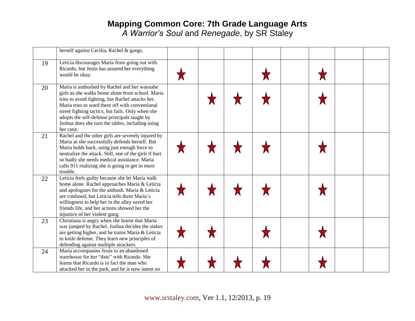|    | herself against Cecilia, Rachel & gangs.                                                                                                                                                                                                                                                                                                                                    |  |  |  |  |
|----|-----------------------------------------------------------------------------------------------------------------------------------------------------------------------------------------------------------------------------------------------------------------------------------------------------------------------------------------------------------------------------|--|--|--|--|
| 19 | Leticia discourages Maria from going out with<br>Ricardo, but Jesús has assured her everything<br>would be okay.                                                                                                                                                                                                                                                            |  |  |  |  |
| 20 | Maria is ambushed by Rachel and her wannabe<br>girls as she walks home alone from school. Maria<br>tries to avoid fighting, but Rachel attacks her.<br>Maria tries to ward them off with conventional<br>street fighting tactics, but fails. Only when she<br>adopts the self-defense principals taught by<br>Joshua does she turn the tables, including using<br>her cane. |  |  |  |  |
| 21 | Rachel and the other girls are severely injured by<br>Maria as she successfully defends herself. But<br>Maria holds back, using just enough force to<br>neutralize the attack. Still, one of the girls if hurt<br>so badly she needs medical assistance. Maria<br>calls 911 realizing she is going to get in more<br>trouble.                                               |  |  |  |  |
| 22 | Leticia feels guilty because she let Maria walk<br>home alone. Rachel approaches Maria & Leticia<br>and apologizes for the ambush. Maria & Leticia<br>are confused, but Leticia tells them Maria's<br>willingness to help her in the alley saved her<br>friends life, and her actions showed her the<br>injustice of her violent gang.                                      |  |  |  |  |
| 23 | Christiana is angry when she learns that Maria<br>was jumped by Rachel. Joshua decides the stakes<br>are getting higher, and he trains Maria & Leticia<br>in knife defense. They learn new principles of<br>defending against multiple attackers.                                                                                                                           |  |  |  |  |
| 24 | Maria accompanies Jesús to an abandoned<br>warehouse for her "date" with Ricardo. She<br>learns that Ricardo is in fact the man who<br>attacked her in the park, and he is now intent on                                                                                                                                                                                    |  |  |  |  |